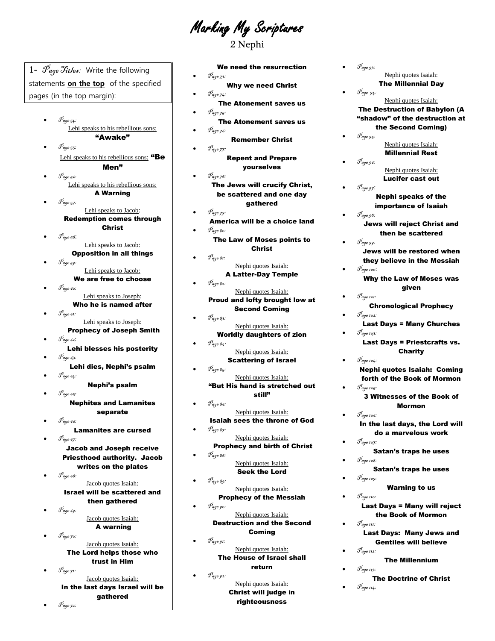Marking My Scriptures

2 Nephi

 $\mathcal{P}_{\mathit{age\ 54}}$ : Lehi speaks to his rebellious sons: "Awake" Page 55: Lehi speaks to his rebellious sons: "Be Men" Page 56: Lehi speaks to his rebellious sons: A Warning Page 57: Lehi speaks to Jacob: Redemption comes through Christ  $\mathscr{P}_{\textit{age 58}}$ : Lehi speaks to Jacob: Opposition in all things Page 59: Lehi speaks to Jacob: We are free to choose Page 60: Lehi speaks to Joseph: Who he is named after Page 61: Lehi speaks to Joseph: Prophecy of Joseph Smith Page 62: Lehi blesses his posterity  $\mathscr{P}_{\textit{age 63:}}$ Lehi dies, Nephi's psalm Page 64: Nephi's psalm  $\mathscr{P}_{\textit{age 65}}$ Nephites and Lamanites separate Page 66: Lamanites are cursed  $\mathscr{P}_{\mathit{aap.67}}$ Jacob and Joseph receive Priesthood authority. Jacob writes on the plates  $\mathscr{P}_{\mathit{aqe}}$  68: Jacob quotes Isaiah: Israel will be scattered and then gathered Page 69: Jacob quotes Isaiah: A warning Page 70: Jacob quotes Isaiah:

1-  $\mathscr{P}_{\textit{age}}$   $\mathscr{T}_{\textit{itbes}}$ : Write the following statements **on the top** of the specified

pages (in the top margin):

The Lord helps those who trust in Him Page 71:

Jacob quotes Isaiah: In the last days Israel will be gathered

We need the resurrection Page 73:

- Why we need Christ  $\mathscr{P}_{\mathit{age 74}}$ :
- The Atonement saves us  $\mathscr{P}_{\textit{age 75}}$
- The Atonement saves us Page 76:
	- Remember Christ Page 77:
	- Repent and Prepare yourselves
- $\bullet$   $\mathscr{P}_{age\,78}$ : The Jews will crucify Christ, be scattered and one day gathered
- Page 79: America will be a choice land  $\mathscr{P}_{\textit{age}}$  80:
	- The Law of Moses points to Christ
- Page 81: Nephi quotes Isaiah: A Latter-Day Temple  $\mathscr{P}_{\textit{age 82:}}$
- Nephi quotes Isaiah: Proud and lofty brought low at Second Coming
- Page 83: Nephi quotes Isaiah: Worldly daughters of zion
	- Page 84: Nephi quotes Isaiah:
- Scattering of Israel Page 85: Nephi quotes Isaiah: "But His hand is stretched out
- still" Page 86:
- Nephi quotes Isaiah: Isaiah sees the throne of God Page 87:
- Nephi quotes Isaiah: Prophecy and birth of Christ
- Page 88: Nephi quotes Isaiah: Seek the Lord
- Page 89: Nephi quotes Isaiah: Prophecy of the Messiah
	- Page 90: Nephi quotes Isaiah: Destruction and the Second Coming
	- $\mathscr{P}_{\mathit{aqe} \, \mathit{91}}$ Nephi quotes Isaiah: The House of Israel shall return
- $\bullet$   $\mathscr{P}_{\text{age 92}}$ : Nephi quotes Isaiah: Christ will judge in righteousness

Nephi quotes Isaiah: The Millennial Day Page 94: Nephi quotes Isaiah: The Destruction of Babylon (A "shadow" of the destruction at the Second Coming) Page 95: Nephi quotes Isaiah: Millennial Rest Page 96: Nephi quotes Isaiah: Lucifer cast out Page 97: Nephi speaks of the importance of Isaiah Page 98: Jews will reject Christ and then be scattered Page 99: Jews will be restored when they believe in the Messiah  $\mathscr{P}_{\textit{age 100}}$ : Why the Law of Moses was given  $\mathscr{T}_{\mathit{age 101}}$ Chronological Prophecy  $\mathscr{P}_{\mathit{age 102}}$ Last Days = Many Churches Page 103: Last Days = Priestcrafts vs. Charity Page 104: Nephi quotes Isaiah: Coming forth of the Book of Mormon Page 105: 3 Witnesses of the Book of Mormon  $\mathscr{T}_{\emph{age 106}}$ In the last days, the Lord will do a marvelous work Page 107: Satan's traps he uses  $\mathscr{P}_{\textit{age 108}}$ : Satan's traps he uses Page 109: Warning to us  $\mathcal{P}_{\mathit{age 110}}$ Last Days = Many will reject the Book of Mormon  $\mathscr{P}_{\mathit{age\,III}}$ Last Days: Many Jews and Gentiles will believe Page 112: The Millennium  $\mathcal{P}_{\textit{age 113:}}$ The Doctrine of Christ

 $\mathcal{P}_{\mathit{age} \, \mathit{gg:}}$ 

 $\mathscr{P}_{age\ 114}$ :